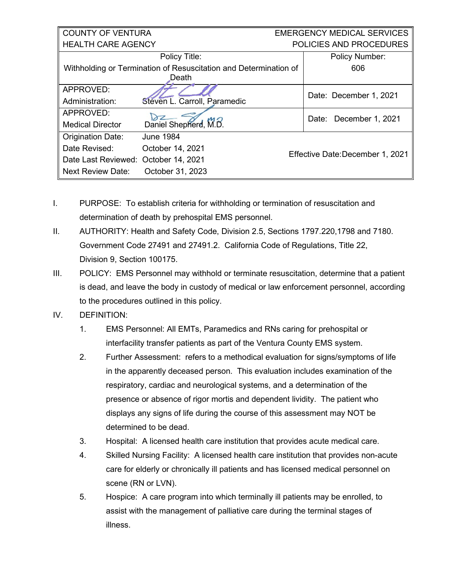| <b>COUNTY OF VENTURA</b>                                                  |                              | <b>EMERGENCY MEDICAL SERVICES</b> |                                  |  |
|---------------------------------------------------------------------------|------------------------------|-----------------------------------|----------------------------------|--|
| <b>HEALTH CARE AGENCY</b>                                                 |                              | POLICIES AND PROCEDURES           |                                  |  |
|                                                                           | Policy Title:                |                                   | <b>Policy Number:</b>            |  |
| Withholding or Termination of Resuscitation and Determination of<br>Death |                              |                                   | 606                              |  |
|                                                                           |                              |                                   |                                  |  |
| APPROVED:                                                                 |                              |                                   | Date: December 1, 2021           |  |
| Administration:                                                           | Steven L. Carroll, Paramedic |                                   |                                  |  |
| APPROVED:                                                                 |                              |                                   |                                  |  |
| <b>Medical Director</b>                                                   | Daniel Shepherd, M.B.        |                                   | Date: December 1, 2021           |  |
| <b>Origination Date:</b>                                                  | <b>June 1984</b>             |                                   |                                  |  |
| Date Revised:                                                             | October 14, 2021             |                                   | Effective Date: December 1, 2021 |  |
| Date Last Reviewed: October 14, 2021                                      |                              |                                   |                                  |  |
| <b>Next Review Date:</b>                                                  | October 31, 2023             |                                   |                                  |  |

- I. PURPOSE: To establish criteria for withholding or termination of resuscitation and determination of death by prehospital EMS personnel.
- II. AUTHORITY: Health and Safety Code, Division 2.5, Sections 1797.220,1798 and 7180. Government Code 27491 and 27491.2. California Code of Regulations, Title 22, Division 9, Section 100175.
- III. POLICY: EMS Personnel may withhold or terminate resuscitation, determine that a patient is dead, and leave the body in custody of medical or law enforcement personnel, according to the procedures outlined in this policy.
- IV. DEFINITION:
	- 1. EMS Personnel: All EMTs, Paramedics and RNs caring for prehospital or interfacility transfer patients as part of the Ventura County EMS system.
	- 2. Further Assessment: refers to a methodical evaluation for signs/symptoms of life in the apparently deceased person. This evaluation includes examination of the respiratory, cardiac and neurological systems, and a determination of the presence or absence of rigor mortis and dependent lividity. The patient who displays any signs of life during the course of this assessment may NOT be determined to be dead.
	- 3. Hospital: A licensed health care institution that provides acute medical care.
	- 4. Skilled Nursing Facility: A licensed health care institution that provides non-acute care for elderly or chronically ill patients and has licensed medical personnel on scene (RN or LVN).
	- 5. Hospice: A care program into which terminally ill patients may be enrolled, to assist with the management of palliative care during the terminal stages of illness.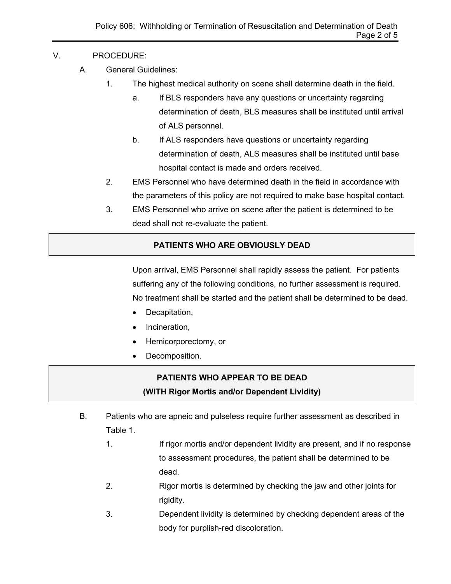#### V. PROCEDURE:

- A. General Guidelines:
	- 1. The highest medical authority on scene shall determine death in the field.
		- a. If BLS responders have any questions or uncertainty regarding determination of death, BLS measures shall be instituted until arrival of ALS personnel.
		- b. If ALS responders have questions or uncertainty regarding determination of death, ALS measures shall be instituted until base hospital contact is made and orders received.
	- 2. EMS Personnel who have determined death in the field in accordance with the parameters of this policy are not required to make base hospital contact.
	- 3. EMS Personnel who arrive on scene after the patient is determined to be dead shall not re-evaluate the patient.

### **PATIENTS WHO ARE OBVIOUSLY DEAD**

Upon arrival, EMS Personnel shall rapidly assess the patient. For patients suffering any of the following conditions, no further assessment is required. No treatment shall be started and the patient shall be determined to be dead.

- Decapitation,
- Incineration,
- Hemicorporectomy, or
- Decomposition.

## **PATIENTS WHO APPEAR TO BE DEAD (WITH Rigor Mortis and/or Dependent Lividity)**

- B. Patients who are apneic and pulseless require further assessment as described in Table 1.
	- 1. If rigor mortis and/or dependent lividity are present, and if no response to assessment procedures, the patient shall be determined to be dead.
	- 2. Rigor mortis is determined by checking the jaw and other joints for rigidity.
	- 3. Dependent lividity is determined by checking dependent areas of the body for purplish-red discoloration.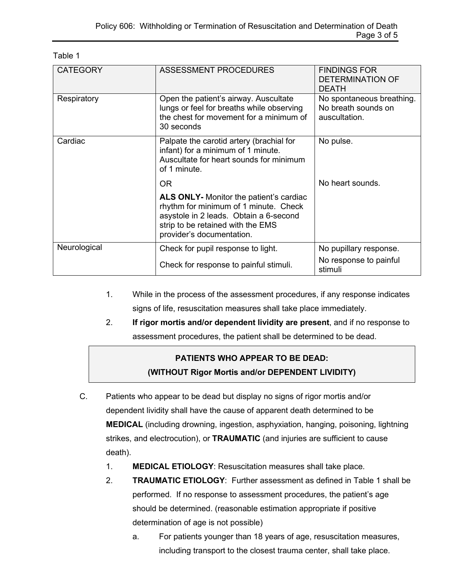| <b>CATEGORY</b> | ASSESSMENT PROCEDURES                                                                                                                                                                        | <b>FINDINGS FOR</b><br><b>DETERMINATION OF</b><br><b>DEATH</b>    |
|-----------------|----------------------------------------------------------------------------------------------------------------------------------------------------------------------------------------------|-------------------------------------------------------------------|
| Respiratory     | Open the patient's airway. Auscultate<br>lungs or feel for breaths while observing<br>the chest for movement for a minimum of<br>30 seconds                                                  | No spontaneous breathing.<br>No breath sounds on<br>auscultation. |
| Cardiac         | Palpate the carotid artery (brachial for<br>infant) for a minimum of 1 minute.<br>Auscultate for heart sounds for minimum<br>of 1 minute.                                                    | No pulse.                                                         |
|                 | OR.                                                                                                                                                                                          | No heart sounds.                                                  |
|                 | ALS ONLY- Monitor the patient's cardiac<br>rhythm for minimum of 1 minute. Check<br>asystole in 2 leads. Obtain a 6-second<br>strip to be retained with the EMS<br>provider's documentation. |                                                                   |
| Neurological    | Check for pupil response to light.                                                                                                                                                           | No pupillary response.                                            |
|                 | Check for response to painful stimuli.                                                                                                                                                       | No response to painful<br>stimuli                                 |

Table 1

- 1. While in the process of the assessment procedures, if any response indicates signs of life, resuscitation measures shall take place immediately.
- 2. **If rigor mortis and/or dependent lividity are present**, and if no response to assessment procedures, the patient shall be determined to be dead.

## **PATIENTS WHO APPEAR TO BE DEAD: (WITHOUT Rigor Mortis and/or DEPENDENT LIVIDITY)**

- C. Patients who appear to be dead but display no signs of rigor mortis and/or dependent lividity shall have the cause of apparent death determined to be **MEDICAL** (including drowning, ingestion, asphyxiation, hanging, poisoning, lightning strikes, and electrocution), or **TRAUMATIC** (and injuries are sufficient to cause death).
	- 1. **MEDICAL ETIOLOGY**: Resuscitation measures shall take place.
	- 2. **TRAUMATIC ETIOLOGY**: Further assessment as defined in Table 1 shall be performed. If no response to assessment procedures, the patient's age should be determined. (reasonable estimation appropriate if positive determination of age is not possible)
		- a. For patients younger than 18 years of age, resuscitation measures, including transport to the closest trauma center, shall take place.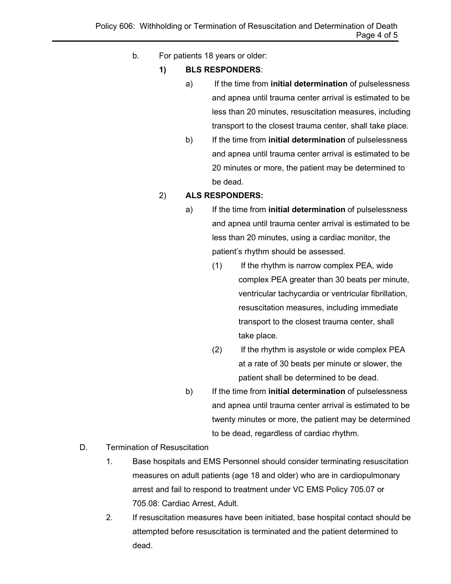- b. For patients 18 years or older:
	- **1) BLS RESPONDERS**:
		- a) If the time from **initial determination** of pulselessness and apnea until trauma center arrival is estimated to be less than 20 minutes, resuscitation measures, including transport to the closest trauma center, shall take place.
		- b) If the time from **initial determination** of pulselessness and apnea until trauma center arrival is estimated to be 20 minutes or more, the patient may be determined to be dead.

#### 2) **ALS RESPONDERS:**

- a) If the time from **initial determination** of pulselessness and apnea until trauma center arrival is estimated to be less than 20 minutes, using a cardiac monitor, the patient's rhythm should be assessed.
	- $(1)$  If the rhythm is narrow complex PEA, wide complex PEA greater than 30 beats per minute, ventricular tachycardia or ventricular fibrillation, resuscitation measures, including immediate transport to the closest trauma center, shall take place.
	- (2) If the rhythm is asystole or wide complex PEA at a rate of 30 beats per minute or slower, the patient shall be determined to be dead.
- b) If the time from **initial determination** of pulselessness and apnea until trauma center arrival is estimated to be twenty minutes or more, the patient may be determined to be dead, regardless of cardiac rhythm.
- D. Termination of Resuscitation
	- 1. Base hospitals and EMS Personnel should consider terminating resuscitation measures on adult patients (age 18 and older) who are in cardiopulmonary arrest and fail to respond to treatment under VC EMS Policy 705.07 or 705.08: Cardiac Arrest, Adult.
	- 2. If resuscitation measures have been initiated, base hospital contact should be attempted before resuscitation is terminated and the patient determined to dead.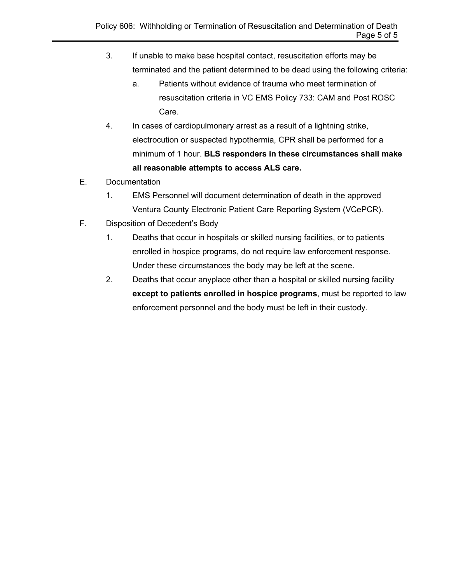- 3. If unable to make base hospital contact, resuscitation efforts may be terminated and the patient determined to be dead using the following criteria:
	- a. Patients without evidence of trauma who meet termination of resuscitation criteria in VC EMS Policy 733: CAM and Post ROSC Care.
- 4. In cases of cardiopulmonary arrest as a result of a lightning strike, electrocution or suspected hypothermia, CPR shall be performed for a minimum of 1 hour. **BLS responders in these circumstances shall make all reasonable attempts to access ALS care.**
- E. Documentation
	- 1. EMS Personnel will document determination of death in the approved Ventura County Electronic Patient Care Reporting System (VCePCR).
- F. Disposition of Decedent's Body
	- 1. Deaths that occur in hospitals or skilled nursing facilities, or to patients enrolled in hospice programs, do not require law enforcement response. Under these circumstances the body may be left at the scene.
	- 2. Deaths that occur anyplace other than a hospital or skilled nursing facility **except to patients enrolled in hospice programs**, must be reported to law enforcement personnel and the body must be left in their custody.